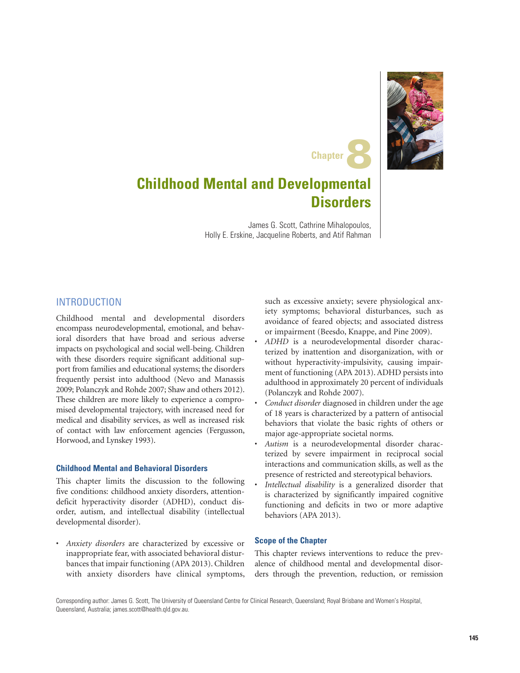

# **Chapter 8**

## **Childhood Mental and Developmental Disorders**

James G. Scott, Cathrine Mihalopoulos, Holly E. Erskine, Jacqueline Roberts, and Atif Rahman

## **INTRODUCTION**

Childhood mental and developmental disorders encompass neurodevelopmental, emotional, and behavioral disorders that have broad and serious adverse impacts on psychological and social well-being. Children with these disorders require significant additional support from families and educational systems; the disorders frequently persist into adulthood (Nevo and Manassis 2009; Polanczyk and Rohde 2007; Shaw and others 2012). These children are more likely to experience a compromised developmental trajectory, with increased need for medical and disability services, as well as increased risk of contact with law enforcement agencies (Fergusson, Horwood, and Lynskey 1993).

#### **Childhood Mental and Behavioral Disorders**

This chapter limits the discussion to the following five conditions: childhood anxiety disorders, attentiondeficit hyperactivity disorder (ADHD), conduct disorder, autism, and intellectual disability (intellectual developmental disorder).

• *Anxiety disorders* are characterized by excessive or inappropriate fear, with associated behavioral disturbances that impair functioning (APA 2013). Children with anxiety disorders have clinical symptoms, such as excessive anxiety; severe physiological anxiety symptoms; behavioral disturbances, such as avoidance of feared objects; and associated distress or impairment (Beesdo, Knappe, and Pine 2009).

- *ADHD* is a neurodevelopmental disorder characterized by inattention and disorganization, with or without hyperactivity-impulsivity, causing impairment of functioning (APA 2013). ADHD persists into adulthood in approximately 20 percent of individuals (Polanczyk and Rohde 2007).
- *Conduct disorder* diagnosed in children under the age of 18 years is characterized by a pattern of antisocial behaviors that violate the basic rights of others or major age-appropriate societal norms.
- *Autism* is a neurodevelopmental disorder characterized by severe impairment in reciprocal social interactions and communication skills, as well as the presence of restricted and stereotypical behaviors.
- Intellectual disability is a generalized disorder that is characterized by significantly impaired cognitive functioning and deficits in two or more adaptive behaviors (APA 2013).

#### **Scope of the Chapter**

This chapter reviews interventions to reduce the prevalence of childhood mental and developmental disorders through the prevention, reduction, or remission

Corresponding author: James G. Scott, The University of Queensland Centre for Clinical Research, Queensland; Royal Brisbane and Women's Hospital, Queensland, Australia; james.scott@health.qld.gov.au.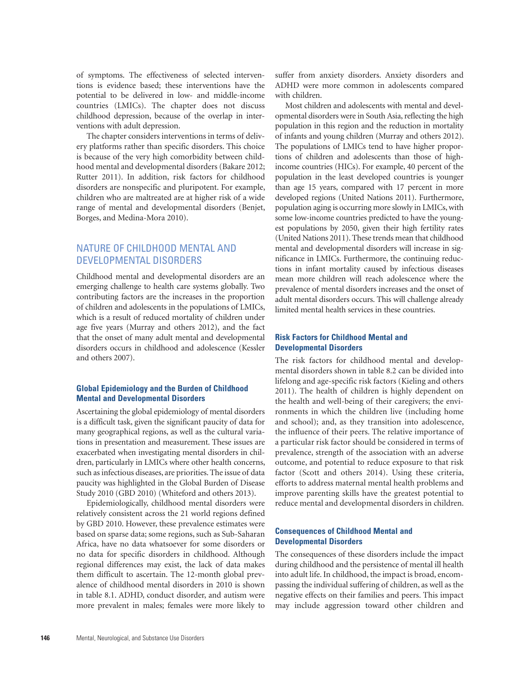of symptoms. The effectiveness of selected interventions is evidence based; these interventions have the potential to be delivered in low- and middle-income countries (LMICs). The chapter does not discuss childhood depression, because of the overlap in interventions with adult depression.

The chapter considers interventions in terms of delivery platforms rather than specific disorders. This choice is because of the very high comorbidity between childhood mental and developmental disorders (Bakare 2012; Rutter 2011). In addition, risk factors for childhood disorders are nonspecific and pluripotent. For example, children who are maltreated are at higher risk of a wide range of mental and developmental disorders (Benjet, Borges, and Medina-Mora 2010).

## NATURE OF CHILDHOOD MENTAL AND DEVELOPMENTAL DISORDERS

Childhood mental and developmental disorders are an emerging challenge to health care systems globally. Two contributing factors are the increases in the proportion of children and adolescents in the populations of LMICs, which is a result of reduced mortality of children under age five years (Murray and others 2012), and the fact that the onset of many adult mental and developmental disorders occurs in childhood and adolescence (Kessler and others 2007).

## **Global Epidemiology and the Burden of Childhood Mental and Developmental Disorders**

Ascertaining the global epidemiology of mental disorders is a difficult task, given the significant paucity of data for many geographical regions, as well as the cultural variations in presentation and measurement. These issues are exacerbated when investigating mental disorders in children, particularly in LMICs where other health concerns, such as infectious diseases, are priorities. The issue of data paucity was highlighted in the Global Burden of Disease Study 2010 (GBD 2010) (Whiteford and others 2013).

Epidemiologically, childhood mental disorders were relatively consistent across the 21 world regions defined by GBD 2010. However, these prevalence estimates were based on sparse data; some regions, such as Sub-Saharan Africa, have no data whatsoever for some disorders or no data for specific disorders in childhood. Although regional differences may exist, the lack of data makes them difficult to ascertain. The 12-month global prevalence of childhood mental disorders in 2010 is shown in table 8.1. ADHD, conduct disorder, and autism were more prevalent in males; females were more likely to

suffer from anxiety disorders. Anxiety disorders and ADHD were more common in adolescents compared with children.

Most children and adolescents with mental and developmental disorders were in South Asia, reflecting the high population in this region and the reduction in mortality of infants and young children (Murray and others 2012). The populations of LMICs tend to have higher proportions of children and adolescents than those of highincome countries (HICs). For example, 40 percent of the population in the least developed countries is younger than age 15 years, compared with 17 percent in more developed regions (United Nations 2011). Furthermore, population aging is occurring more slowly in LMICs, with some low-income countries predicted to have the youngest populations by 2050, given their high fertility rates (United Nations 2011). These trends mean that childhood mental and developmental disorders will increase in significance in LMICs. Furthermore, the continuing reductions in infant mortality caused by infectious diseases mean more children will reach adolescence where the prevalence of mental disorders increases and the onset of adult mental disorders occurs. This will challenge already limited mental health services in these countries.

## **Risk Factors for Childhood Mental and Developmental Disorders**

The risk factors for childhood mental and developmental disorders shown in table 8.2 can be divided into lifelong and age-specific risk factors (Kieling and others 2011). The health of children is highly dependent on the health and well-being of their caregivers; the environments in which the children live (including home and school); and, as they transition into adolescence, the influence of their peers. The relative importance of a particular risk factor should be considered in terms of prevalence, strength of the association with an adverse outcome, and potential to reduce exposure to that risk factor (Scott and others 2014). Using these criteria, efforts to address maternal mental health problems and improve parenting skills have the greatest potential to reduce mental and developmental disorders in children.

## **Consequences of Childhood Mental and Developmental Disorders**

The consequences of these disorders include the impact during childhood and the persistence of mental ill health into adult life. In childhood, the impact is broad, encompassing the individual suffering of children, as well as the negative effects on their families and peers. This impact may include aggression toward other children and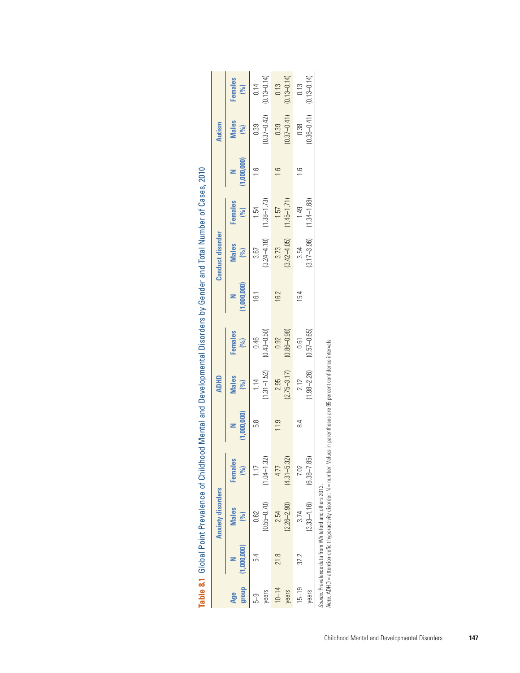|                    |             | <b>Anxiety disorders</b>                                |                         |                  | <b>ADHD</b>               |                           |                  | <b>Conduct disorder</b>                                                                 |                           |                  | <b>Autism</b>                                          |                                                     |
|--------------------|-------------|---------------------------------------------------------|-------------------------|------------------|---------------------------|---------------------------|------------------|-----------------------------------------------------------------------------------------|---------------------------|------------------|--------------------------------------------------------|-----------------------------------------------------|
| dhonb<br>Age       | (1,000,000) | Males                                                   | <b>Females</b>          | N<br>(1,000,000) | Males<br>(%)              | Females<br>$(96)$         | N<br>(1,000,000) | Males<br>(%)                                                                            | Females<br>$(96)$         | N<br>(1,000,000) | <b>Males</b><br>$(96)$                                 | Females<br>$(%)$                                    |
| years<br>ြို       |             | $0.55 - 0.70$                                           | $.04 - 1.32$<br>1.17    | 5.8              | $1.14$<br>$(1.31 - 1.52)$ | $0.46$<br>$(0.43 - 0.50)$ | 16.1             |                                                                                         | $1.54$<br>(1.38–1.73)     | $\frac{6}{1}$    |                                                        | $0.14$<br>(0.13-0.14)                               |
| $10 - 14$<br>years | 21.8        | $2.26 - 2.90$<br>2.54                                   | $(4.31 - 5.32)$<br>4.77 | 11.9             | $2.95$<br>$(2.75-3.17)$   | $0.92$<br>$(0.86 - 0.98)$ | 16.2             | $\begin{array}{c}\n 3.67 \\  (3.24 - 4.18) \\  \hline\n 3.73\n \end{array}$ (3.42-4.05) | $(1.57)$<br>$(1.45-1.71)$ | $\frac{1}{6}$    | $(0.37 - 0.42)$<br>$0.39$<br>$0.39$<br>$(0.37 - 0.41)$ | $\begin{pmatrix} 0.13 \\ 0.13 - 0.14 \end{pmatrix}$ |
| $15 - 19$<br>vears | 32.2        | $(3.33 - 4.16)$<br>3.74                                 | $(6.38 - 7.85)$<br>7.02 | 8.4              | $2.12$<br>(1.98-2.26)     | $(0.57 - 0.65)$<br>0.61   | 15.4             | $3.54$<br>$(3.17 - 3.96)$                                                               | $(1.34 - 1.68)$<br>1.49   | $\frac{6}{1}$    | $0.38$<br>$(0.36-0.41)$                                | $(0.13 - 0.14)$<br>0.13                             |
|                    |             | Source: Prevalence data from Whiteford and others 2013. |                         |                  |                           |                           |                  |                                                                                         |                           |                  |                                                        |                                                     |

| ֺ֘<br>Ì                   |
|---------------------------|
|                           |
| $\tilde{\zeta}$<br>ו<br>ו |
|                           |
|                           |
|                           |
|                           |
|                           |
|                           |
| :                         |
|                           |
|                           |
|                           |
| l                         |
|                           |
|                           |
|                           |
|                           |
| l                         |
|                           |
| )<br>2<br>)               |
|                           |
|                           |
|                           |
|                           |
|                           |
| Í                         |
|                           |
|                           |
|                           |
|                           |
|                           |
|                           |
|                           |
|                           |
|                           |
|                           |
|                           |
|                           |
|                           |
|                           |
|                           |
|                           |
|                           |
|                           |
| <u>:</u>                  |
|                           |
|                           |
|                           |
|                           |
|                           |
| oint Preva                |
|                           |
| ļ                         |
|                           |
|                           |
|                           |
|                           |
|                           |
|                           |
|                           |
|                           |
|                           |
|                           |
|                           |
|                           |

Note: ADHD = attention-deficit hyperactivity disorder, N = number. Values in parentheses are 95 percent confidence intervals. *Note:* ADHD = attention-deficit hyperactivity disorder; N = number. Values in parentheses are 95 percent confidence intervals.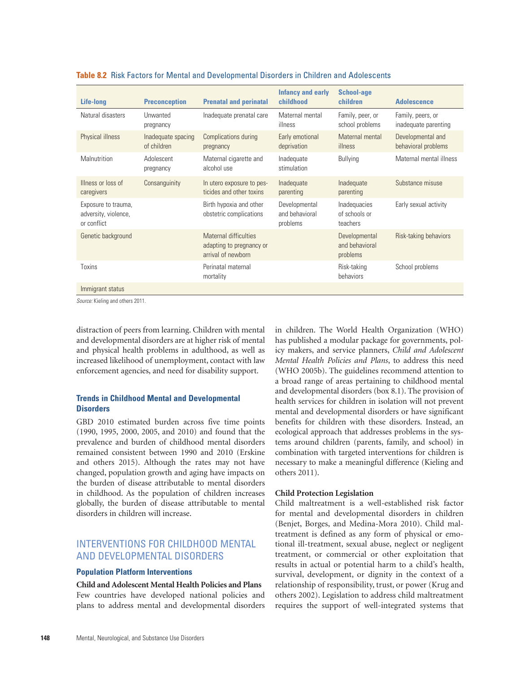| Life-long                                                  | <b>Preconception</b>              | <b>Prenatal and perinatal</b>                                           | <b>Infancy and early</b><br>childhood       | <b>School-age</b><br>children               | <b>Adolescence</b>                        |
|------------------------------------------------------------|-----------------------------------|-------------------------------------------------------------------------|---------------------------------------------|---------------------------------------------|-------------------------------------------|
| Natural disasters                                          | Unwanted<br>pregnancy             | Inadequate prenatal care                                                | Maternal mental<br>illness                  | Family, peer, or<br>school problems         | Family, peers, or<br>inadequate parenting |
| Physical illness                                           | Inadequate spacing<br>of children | Complications during<br>pregnancy                                       | Early emotional<br>deprivation              | Maternal mental<br>illness                  | Developmental and<br>behavioral problems  |
| Malnutrition                                               | Adolescent<br>pregnancy           | Maternal cigarette and<br>alcohol use                                   | Inadequate<br>stimulation                   | <b>Bullying</b>                             | Maternal mental illness                   |
| Illness or loss of<br>caregivers                           | Consanguinity                     | In utero exposure to pes-<br>ticides and other toxins                   | Inadequate<br>parenting                     | Inadequate<br>parenting                     | Substance misuse                          |
| Exposure to trauma,<br>adversity, violence,<br>or conflict |                                   | Birth hypoxia and other<br>obstetric complications                      | Developmental<br>and behavioral<br>problems | Inadequacies<br>of schools or<br>teachers   | Early sexual activity                     |
| Genetic background                                         |                                   | Maternal difficulties<br>adapting to pregnancy or<br>arrival of newborn |                                             | Developmental<br>and behavioral<br>problems | Risk-taking behaviors                     |
| <b>Toxins</b>                                              |                                   | Perinatal maternal<br>mortality                                         |                                             | Risk-taking<br>behaviors                    | School problems                           |
| Immigrant status                                           |                                   |                                                                         |                                             |                                             |                                           |

| Table 8.2 Risk Factors for Mental and Developmental Disorders in Children and Adolescents |  |  |  |
|-------------------------------------------------------------------------------------------|--|--|--|
|-------------------------------------------------------------------------------------------|--|--|--|

*Source:* Kieling and others 2011.

distraction of peers from learning. Children with mental and developmental disorders are at higher risk of mental and physical health problems in adulthood, as well as increased likelihood of unemployment, contact with law enforcement agencies, and need for disability support.

#### **Trends in Childhood Mental and Developmental Disorders**

GBD 2010 estimated burden across five time points (1990, 1995, 2000, 2005, and 2010) and found that the prevalence and burden of childhood mental disorders remained consistent between 1990 and 2010 (Erskine and others 2015). Although the rates may not have changed, population growth and aging have impacts on the burden of disease attributable to mental disorders in childhood. As the population of children increases globally, the burden of disease attributable to mental disorders in children will increase.

## INTERVENTIONS FOR CHILDHOOD MENTAL AND DEVELOPMENTAL DISORDERS

#### **Population Platform Interventions**

**Child and Adolescent Mental Health Policies and Plans** Few countries have developed national policies and plans to address mental and developmental disorders in children. The World Health Organization (WHO) has published a modular package for governments, policy makers, and service planners, *Child and Adolescent Mental Health Policies and Plans*, to address this need (WHO 2005b). The guidelines recommend attention to a broad range of areas pertaining to childhood mental and developmental disorders (box 8.1). The provision of health services for children in isolation will not prevent mental and developmental disorders or have significant benefits for children with these disorders. Instead, an ecological approach that addresses problems in the systems around children (parents, family, and school) in combination with targeted interventions for children is necessary to make a meaningful difference (Kieling and others 2011).

## **Child Protection Legislation**

Child maltreatment is a well-established risk factor for mental and developmental disorders in children (Benjet, Borges, and Medina-Mora 2010). Child maltreatment is defined as any form of physical or emotional ill-treatment, sexual abuse, neglect or negligent treatment, or commercial or other exploitation that results in actual or potential harm to a child's health, survival, development, or dignity in the context of a relationship of responsibility, trust, or power (Krug and others 2002). Legislation to address child maltreatment requires the support of well-integrated systems that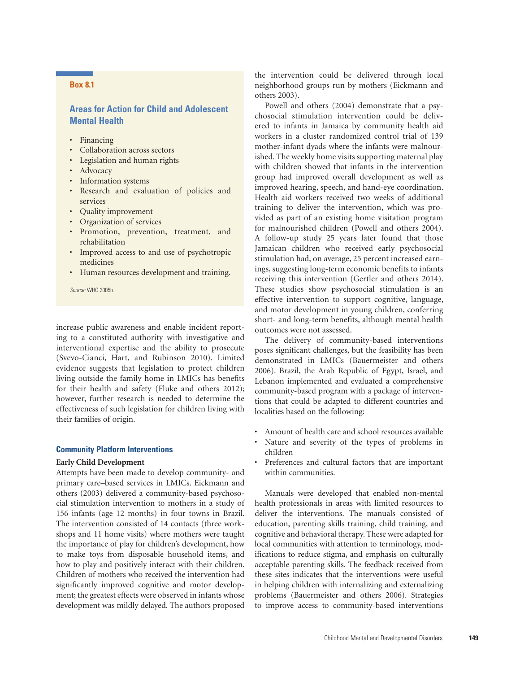## **Box 8.1**

## **Areas for Action for Child and Adolescent Mental Health**

- Financing
- Collaboration across sectors
- Legislation and human rights
- Advocacy
- Information systems
- Research and evaluation of policies and services
- Quality improvement
- Organization of services
- Promotion, prevention, treatment, and rehabilitation
- Improved access to and use of psychotropic medicines
- Human resources development and training.

*Source:* WHO 2005b.

increase public awareness and enable incident reporting to a constituted authority with investigative and interventional expertise and the ability to prosecute (Svevo-Cianci, Hart, and Rubinson 2010). Limited evidence suggests that legislation to protect children living outside the family home in LMICs has benefits for their health and safety (Fluke and others 2012); however, further research is needed to determine the effectiveness of such legislation for children living with their families of origin.

#### **Community Platform Interventions**

#### **Early Child Development**

Attempts have been made to develop community- and primary care–based services in LMICs. Eickmann and others (2003) delivered a community-based psychosocial stimulation intervention to mothers in a study of 156 infants (age 12 months) in four towns in Brazil. The intervention consisted of 14 contacts (three workshops and 11 home visits) where mothers were taught the importance of play for children's development, how to make toys from disposable household items, and how to play and positively interact with their children. Children of mothers who received the intervention had significantly improved cognitive and motor development; the greatest effects were observed in infants whose development was mildly delayed. The authors proposed

the intervention could be delivered through local neighborhood groups run by mothers (Eickmann and others 2003).

Powell and others (2004) demonstrate that a psychosocial stimulation intervention could be delivered to infants in Jamaica by community health aid workers in a cluster randomized control trial of 139 mother-infant dyads where the infants were malnourished. The weekly home visits supporting maternal play with children showed that infants in the intervention group had improved overall development as well as improved hearing, speech, and hand-eye coordination. Health aid workers received two weeks of additional training to deliver the intervention, which was provided as part of an existing home visitation program for malnourished children (Powell and others 2004). A follow-up study 25 years later found that those Jamaican children who received early psychosocial stimulation had, on average, 25 percent increased earnings, suggesting long-term economic benefits to infants receiving this intervention (Gertler and others 2014). These studies show psychosocial stimulation is an effective intervention to support cognitive, language, and motor development in young children, conferring short- and long-term benefits, although mental health outcomes were not assessed.

The delivery of community-based interventions poses significant challenges, but the feasibility has been demonstrated in LMICs (Bauermeister and others 2006). Brazil, the Arab Republic of Egypt, Israel, and Lebanon implemented and evaluated a comprehensive community-based program with a package of interventions that could be adapted to different countries and localities based on the following:

- Amount of health care and school resources available
- Nature and severity of the types of problems in children
- Preferences and cultural factors that are important within communities.

Manuals were developed that enabled non-mental health professionals in areas with limited resources to deliver the interventions. The manuals consisted of education, parenting skills training, child training, and cognitive and behavioral therapy. These were adapted for local communities with attention to terminology, modifications to reduce stigma, and emphasis on culturally acceptable parenting skills. The feedback received from these sites indicates that the interventions were useful in helping children with internalizing and externalizing problems (Bauermeister and others 2006). Strategies to improve access to community-based interventions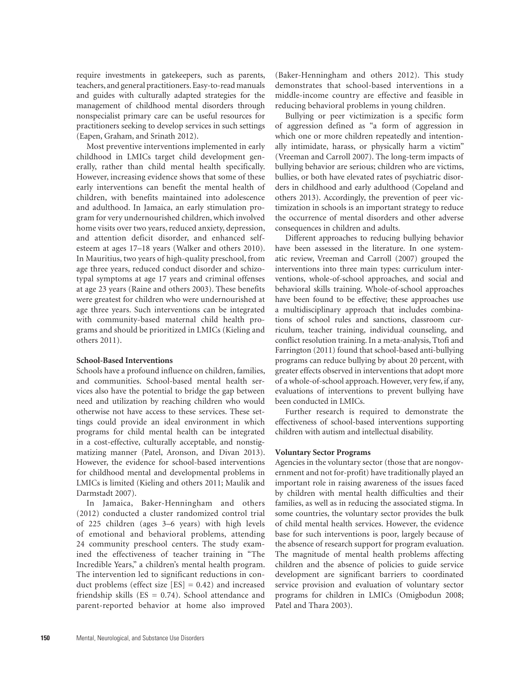require investments in gatekeepers, such as parents, teachers, and general practitioners. Easy-to-read manuals and guides with culturally adapted strategies for the management of childhood mental disorders through nonspecialist primary care can be useful resources for practitioners seeking to develop services in such settings (Eapen, Graham, and Srinath 2012).

Most preventive interventions implemented in early childhood in LMICs target child development generally, rather than child mental health specifically. However, increasing evidence shows that some of these early interventions can benefit the mental health of children, with benefits maintained into adolescence and adulthood. In Jamaica, an early stimulation program for very undernourished children, which involved home visits over two years, reduced anxiety, depression, and attention deficit disorder, and enhanced selfesteem at ages 17–18 years (Walker and others 2010). In Mauritius, two years of high-quality preschool, from age three years, reduced conduct disorder and schizotypal symptoms at age 17 years and criminal offenses at age 23 years (Raine and others 2003). These benefits were greatest for children who were undernourished at age three years. Such interventions can be integrated with community-based maternal child health programs and should be prioritized in LMICs (Kieling and others 2011).

#### **School-Based Interventions**

Schools have a profound influence on children, families, and communities. School-based mental health services also have the potential to bridge the gap between need and utilization by reaching children who would otherwise not have access to these services. These settings could provide an ideal environment in which programs for child mental health can be integrated in a cost-effective, culturally acceptable, and nonstigmatizing manner (Patel, Aronson, and Divan 2013). However, the evidence for school-based interventions for childhood mental and developmental problems in LMICs is limited (Kieling and others 2011; Maulik and Darmstadt 2007).

In Jamaica, Baker-Henningham and others (2012) conducted a cluster randomized control trial of 225 children (ages 3–6 years) with high levels of emotional and behavioral problems, attending 24 community preschool centers. The study examined the effectiveness of teacher training in "The Incredible Years," a children's mental health program. The intervention led to significant reductions in conduct problems (effect size  $[ES] = 0.42$ ) and increased friendship skills ( $ES = 0.74$ ). School attendance and parent-reported behavior at home also improved

(Baker-Henningham and others 2012). This study demonstrates that school-based interventions in a middle-income country are effective and feasible in reducing behavioral problems in young children.

Bullying or peer victimization is a specific form of aggression defined as "a form of aggression in which one or more children repeatedly and intentionally intimidate, harass, or physically harm a victim" (Vreeman and Carroll 2007). The long-term impacts of bullying behavior are serious; children who are victims, bullies, or both have elevated rates of psychiatric disorders in childhood and early adulthood (Copeland and others 2013). Accordingly, the prevention of peer victimization in schools is an important strategy to reduce the occurrence of mental disorders and other adverse consequences in children and adults.

Different approaches to reducing bullying behavior have been assessed in the literature. In one systematic review, Vreeman and Carroll (2007) grouped the interventions into three main types: curriculum interventions, whole-of-school approaches, and social and behavioral skills training. Whole-of-school approaches have been found to be effective; these approaches use a multidisciplinary approach that includes combinations of school rules and sanctions, classroom curriculum, teacher training, individual counseling, and conflict resolution training. In a meta-analysis, Ttofi and Farrington (2011) found that school-based anti-bullying programs can reduce bullying by about 20 percent, with greater effects observed in interventions that adopt more of a whole-of-school approach. However, very few, if any, evaluations of interventions to prevent bullying have been conducted in LMICs.

Further research is required to demonstrate the effectiveness of school-based interventions supporting children with autism and intellectual disability.

#### **Voluntary Sector Programs**

Agencies in the voluntary sector (those that are nongovernment and not for-profit) have traditionally played an important role in raising awareness of the issues faced by children with mental health difficulties and their families, as well as in reducing the associated stigma. In some countries, the voluntary sector provides the bulk of child mental health services. However, the evidence base for such interventions is poor, largely because of the absence of research support for program evaluation. The magnitude of mental health problems affecting children and the absence of policies to guide service development are significant barriers to coordinated service provision and evaluation of voluntary sector programs for children in LMICs (Omigbodun 2008; Patel and Thara 2003).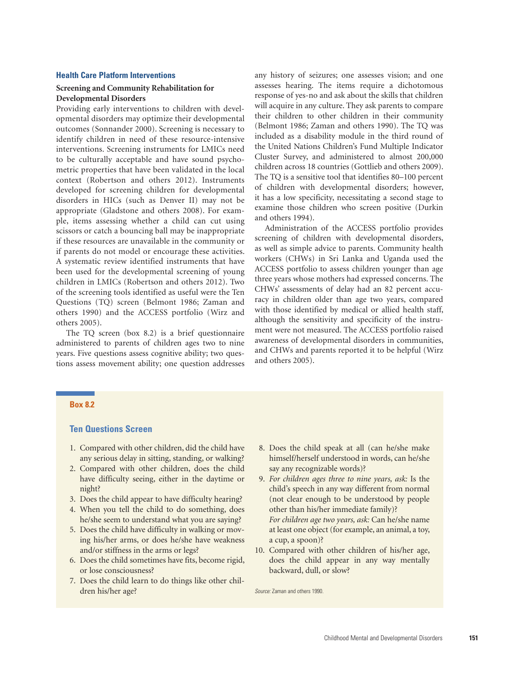#### **Health Care Platform Interventions**

#### **Screening and Community Rehabilitation for Developmental Disorders**

Providing early interventions to children with developmental disorders may optimize their developmental outcomes (Sonnander 2000). Screening is necessary to identify children in need of these resource-intensive interventions. Screening instruments for LMICs need to be culturally acceptable and have sound psychometric properties that have been validated in the local context (Robertson and others 2012). Instruments developed for screening children for developmental disorders in HICs (such as Denver II) may not be appropriate (Gladstone and others 2008). For example, items assessing whether a child can cut using scissors or catch a bouncing ball may be inappropriate if these resources are unavailable in the community or if parents do not model or encourage these activities. A systematic review identified instruments that have been used for the developmental screening of young children in LMICs (Robertson and others 2012). Two of the screening tools identified as useful were the Ten Questions (TQ) screen (Belmont 1986; Zaman and others 1990) and the ACCESS portfolio (Wirz and others 2005).

The TQ screen (box 8.2) is a brief questionnaire administered to parents of children ages two to nine years. Five questions assess cognitive ability; two questions assess movement ability; one question addresses

any history of seizures; one assesses vision; and one assesses hearing. The items require a dichotomous response of yes-no and ask about the skills that children will acquire in any culture. They ask parents to compare their children to other children in their community (Belmont 1986; Zaman and others 1990). The TQ was included as a disability module in the third round of the United Nations Children's Fund Multiple Indicator Cluster Survey, and administered to almost 200,000 children across 18 countries (Gottlieb and others 2009). The TQ is a sensitive tool that identifies 80–100 percent of children with developmental disorders; however, it has a low specificity, necessitating a second stage to examine those children who screen positive (Durkin and others 1994).

Administration of the ACCESS portfolio provides screening of children with developmental disorders, as well as simple advice to parents. Community health workers (CHWs) in Sri Lanka and Uganda used the ACCESS portfolio to assess children younger than age three years whose mothers had expressed concerns. The CHWs' assessments of delay had an 82 percent accuracy in children older than age two years, compared with those identified by medical or allied health staff, although the sensitivity and specificity of the instrument were not measured. The ACCESS portfolio raised awareness of developmental disorders in communities, and CHWs and parents reported it to be helpful (Wirz and others 2005).

#### **Box 8.2**

#### **Ten Questions Screen**

- 1. Compared with other children, did the child have any serious delay in sitting, standing, or walking?
- 2. Compared with other children, does the child have difficulty seeing, either in the daytime or night?
- 3. Does the child appear to have difficulty hearing?
- 4. When you tell the child to do something, does he/she seem to understand what you are saying?
- 5. Does the child have difficulty in walking or moving his/her arms, or does he/she have weakness and/or stiffness in the arms or legs?
- 6. Does the child sometimes have fits, become rigid, or lose consciousness?
- 7. Does the child learn to do things like other children his/her age?
- 8. Does the child speak at all (can he/she make himself/herself understood in words, can he/she say any recognizable words)?
- 9. *For children ages three to nine years, ask:* Is the child's speech in any way different from normal (not clear enough to be understood by people other than his/her immediate family)? *For children age two years, ask:* Can he/she name at least one object (for example, an animal, a toy, a cup, a spoon)?
- 10. Compared with other children of his/her age, does the child appear in any way mentally backward, dull, or slow?

*Source:* Zaman and others 1990.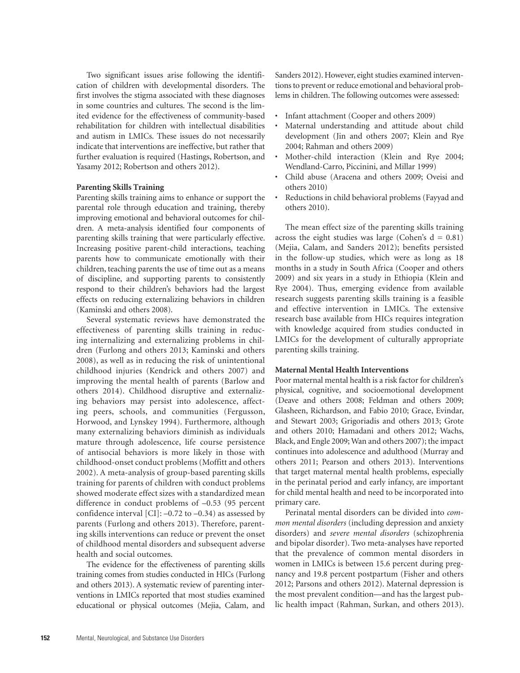Two significant issues arise following the identification of children with developmental disorders. The first involves the stigma associated with these diagnoses in some countries and cultures. The second is the limited evidence for the effectiveness of community-based rehabilitation for children with intellectual disabilities and autism in LMICs. These issues do not necessarily indicate that interventions are ineffective, but rather that further evaluation is required (Hastings, Robertson, and Yasamy 2012; Robertson and others 2012).

#### **Parenting Skills Training**

Parenting skills training aims to enhance or support the parental role through education and training, thereby improving emotional and behavioral outcomes for children. A meta-analysis identified four components of parenting skills training that were particularly effective. Increasing positive parent-child interactions, teaching parents how to communicate emotionally with their children, teaching parents the use of time out as a means of discipline, and supporting parents to consistently respond to their children's behaviors had the largest effects on reducing externalizing behaviors in children (Kaminski and others 2008).

Several systematic reviews have demonstrated the effectiveness of parenting skills training in reducing internalizing and externalizing problems in children (Furlong and others 2013; Kaminski and others 2008), as well as in reducing the risk of unintentional childhood injuries (Kendrick and others 2007) and improving the mental health of parents (Barlow and others 2014). Childhood disruptive and externalizing behaviors may persist into adolescence, affecting peers, schools, and communities (Fergusson, Horwood, and Lynskey 1994). Furthermore, although many externalizing behaviors diminish as individuals mature through adolescence, life course persistence of antisocial behaviors is more likely in those with childhood-onset conduct problems (Moffitt and others 2002). A meta-analysis of group-based parenting skills training for parents of children with conduct problems showed moderate effect sizes with a standardized mean difference in conduct problems of –0.53 (95 percent confidence interval  $[CI]: -0.72$  to  $-0.34$ ) as assessed by parents (Furlong and others 2013). Therefore, parenting skills interventions can reduce or prevent the onset of childhood mental disorders and subsequent adverse health and social outcomes.

The evidence for the effectiveness of parenting skills training comes from studies conducted in HICs (Furlong and others 2013). A systematic review of parenting interventions in LMICs reported that most studies examined educational or physical outcomes (Mejia, Calam, and Sanders 2012). However, eight studies examined interventions to prevent or reduce emotional and behavioral problems in children. The following outcomes were assessed:

- Infant attachment (Cooper and others 2009)
- Maternal understanding and attitude about child development (Jin and others 2007; Klein and Rye 2004; Rahman and others 2009)
- Mother-child interaction (Klein and Rye 2004; Wendland-Carro, Piccinini, and Millar 1999)
- Child abuse (Aracena and others 2009; Oveisi and others 2010)
- Reductions in child behavioral problems (Fayyad and others 2010).

The mean effect size of the parenting skills training across the eight studies was large (Cohen's  $d = 0.81$ ) (Mejia, Calam, and Sanders 2012); benefits persisted in the follow-up studies, which were as long as 18 months in a study in South Africa (Cooper and others 2009) and six years in a study in Ethiopia (Klein and Rye 2004). Thus, emerging evidence from available research suggests parenting skills training is a feasible and effective intervention in LMICs. The extensive research base available from HICs requires integration with knowledge acquired from studies conducted in LMICs for the development of culturally appropriate parenting skills training.

#### **Maternal Mental Health Interventions**

Poor maternal mental health is a risk factor for children's physical, cognitive, and socioemotional development (Deave and others 2008; Feldman and others 2009; Glasheen, Richardson, and Fabio 2010; Grace, Evindar, and Stewart 2003; Grigoriadis and others 2013; Grote and others 2010; Hamadani and others 2012; Wachs, Black, and Engle 2009; Wan and others 2007); the impact continues into adolescence and adulthood (Murray and others 2011; Pearson and others 2013). Interventions that target maternal mental health problems, especially in the perinatal period and early infancy, are important for child mental health and need to be incorporated into primary care.

Perinatal mental disorders can be divided into *common mental disorders* (including depression and anxiety disorders) and *severe mental disorders* (schizophrenia and bipolar disorder). Two meta-analyses have reported that the prevalence of common mental disorders in women in LMICs is between 15.6 percent during pregnancy and 19.8 percent postpartum (Fisher and others 2012; Parsons and others 2012). Maternal depression is the most prevalent condition—and has the largest public health impact (Rahman, Surkan, and others 2013).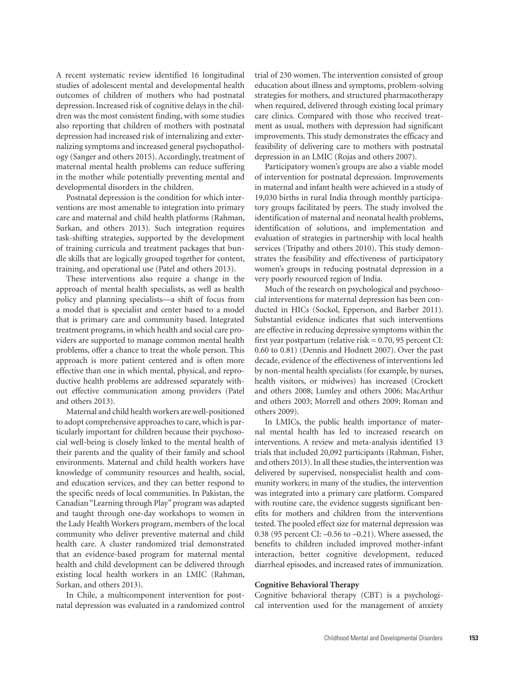A recent systematic review identified 16 longitudinal studies of adolescent mental and developmental health outcomes of children of mothers who had postnatal depression. Increased risk of cognitive delays in the children was the most consistent finding, with some studies also reporting that children of mothers with postnatal depression had increased risk of internalizing and externalizing symptoms and increased general psychopathology (Sanger and others 2015). Accordingly, treatment of maternal mental health problems can reduce suffering in the mother while potentially preventing mental and developmental disorders in the children.

Postnatal depression is the condition for which interventions are most amenable to integration into primary care and maternal and child health platforms (Rahman, Surkan, and others 2013). Such integration requires task-shifting strategies, supported by the development of training curricula and treatment packages that bundle skills that are logically grouped together for content, training, and operational use (Patel and others 2013).

These interventions also require a change in the approach of mental health specialists, as well as health policy and planning specialists—a shift of focus from a model that is specialist and center based to a model that is primary care and community based. Integrated treatment programs, in which health and social care providers are supported to manage common mental health problems, offer a chance to treat the whole person. This approach is more patient centered and is often more effective than one in which mental, physical, and reproductive health problems are addressed separately without effective communication among providers (Patel and others 2013).

Maternal and child health workers are well-positioned to adopt comprehensive approaches to care, which is particularly important for children because their psychosocial well-being is closely linked to the mental health of their parents and the quality of their family and school environments. Maternal and child health workers have knowledge of community resources and health, social, and education services, and they can better respond to the specific needs of local communities. In Pakistan, the Canadian "Learning through Play" program was adapted and taught through one-day workshops to women in the Lady Health Workers program, members of the local community who deliver preventive maternal and child health care. A cluster randomized trial demonstrated that an evidence-based program for maternal mental health and child development can be delivered through existing local health workers in an LMIC (Rahman, Surkan, and others 2013).

In Chile, a multicomponent intervention for postnatal depression was evaluated in a randomized control trial of 230 women. The intervention consisted of group education about illness and symptoms, problem-solving strategies for mothers, and structured pharmacotherapy when required, delivered through existing local primary care clinics. Compared with those who received treatment as usual, mothers with depression had significant improvements. This study demonstrates the efficacy and feasibility of delivering care to mothers with postnatal depression in an LMIC (Rojas and others 2007).

Participatory women's groups are also a viable model of intervention for postnatal depression. Improvements in maternal and infant health were achieved in a study of 19,030 births in rural India through monthly participatory groups facilitated by peers. The study involved the identification of maternal and neonatal health problems, identification of solutions, and implementation and evaluation of strategies in partnership with local health services (Tripathy and others 2010). This study demonstrates the feasibility and effectiveness of participatory women's groups in reducing postnatal depression in a very poorly resourced region of India.

Much of the research on psychological and psychosocial interventions for maternal depression has been conducted in HICs (Sockol, Epperson, and Barber 2011). Substantial evidence indicates that such interventions are effective in reducing depressive symptoms within the first year postpartum (relative risk  $= 0.70$ , 95 percent CI: 0.60 to 0.81) (Dennis and Hodnett 2007). Over the past decade, evidence of the effectiveness of interventions led by non-mental health specialists (for example, by nurses, health visitors, or midwives) has increased (Crockett and others 2008; Lumley and others 2006; MacArthur and others 2003; Morrell and others 2009; Roman and others 2009).

In LMICs, the public health importance of maternal mental health has led to increased research on interventions. A review and meta-analysis identified 13 trials that included 20,092 participants (Rahman, Fisher, and others 2013). In all these studies, the intervention was delivered by supervised, nonspecialist health and community workers; in many of the studies, the intervention was integrated into a primary care platform. Compared with routine care, the evidence suggests significant benefits for mothers and children from the interventions tested. The pooled effect size for maternal depression was 0.38 (95 percent CI: –0.56 to –0.21). Where assessed, the benefits to children included improved mother-infant interaction, better cognitive development, reduced diarrheal episodes, and increased rates of immunization.

#### **Cognitive Behavioral Therapy**

Cognitive behavioral therapy (CBT) is a psychological intervention used for the management of anxiety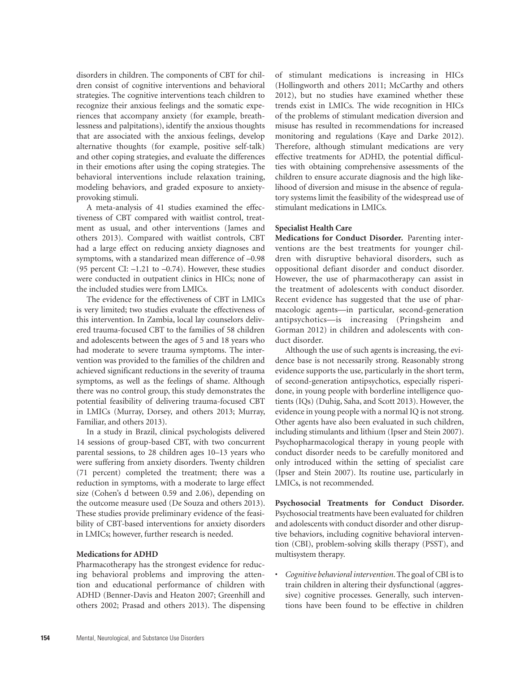disorders in children. The components of CBT for children consist of cognitive interventions and behavioral strategies. The cognitive interventions teach children to recognize their anxious feelings and the somatic experiences that accompany anxiety (for example, breathlessness and palpitations), identify the anxious thoughts that are associated with the anxious feelings, develop alternative thoughts (for example, positive self-talk) and other coping strategies, and evaluate the differences in their emotions after using the coping strategies. The behavioral interventions include relaxation training, modeling behaviors, and graded exposure to anxietyprovoking stimuli.

A meta-analysis of 41 studies examined the effectiveness of CBT compared with waitlist control, treatment as usual, and other interventions (James and others 2013). Compared with waitlist controls, CBT had a large effect on reducing anxiety diagnoses and symptoms, with a standarized mean difference of –0.98 (95 percent CI:  $-1.21$  to  $-0.74$ ). However, these studies were conducted in outpatient clinics in HICs; none of the included studies were from LMICs.

The evidence for the effectiveness of CBT in LMICs is very limited; two studies evaluate the effectiveness of this intervention. In Zambia, local lay counselors delivered trauma-focused CBT to the families of 58 children and adolescents between the ages of 5 and 18 years who had moderate to severe trauma symptoms. The intervention was provided to the families of the children and achieved significant reductions in the severity of trauma symptoms, as well as the feelings of shame. Although there was no control group, this study demonstrates the potential feasibility of delivering trauma-focused CBT in LMICs (Murray, Dorsey, and others 2013; Murray, Familiar, and others 2013).

In a study in Brazil, clinical psychologists delivered 14 sessions of group-based CBT, with two concurrent parental sessions, to 28 children ages 10–13 years who were suffering from anxiety disorders. Twenty children (71 percent) completed the treatment; there was a reduction in symptoms, with a moderate to large effect size (Cohen's d between 0.59 and 2.06), depending on the outcome measure used (De Souza and others 2013). These studies provide preliminary evidence of the feasibility of CBT-based interventions for anxiety disorders in LMICs; however, further research is needed.

#### **Medications for ADHD**

Pharmacotherapy has the strongest evidence for reducing behavioral problems and improving the attention and educational performance of children with ADHD (Benner-Davis and Heaton 2007; Greenhill and others 2002; Prasad and others 2013). The dispensing of stimulant medications is increasing in HICs (Hollingworth and others 2011; McCarthy and others 2012), but no studies have examined whether these trends exist in LMICs. The wide recognition in HICs of the problems of stimulant medication diversion and misuse has resulted in recommendations for increased monitoring and regulations (Kaye and Darke 2012). Therefore, although stimulant medications are very effective treatments for ADHD, the potential difficulties with obtaining comprehensive assessments of the children to ensure accurate diagnosis and the high likelihood of diversion and misuse in the absence of regulatory systems limit the feasibility of the widespread use of stimulant medications in LMICs.

#### **Specialist Health Care**

**Medications for Conduct Disorder.** Parenting interventions are the best treatments for younger children with disruptive behavioral disorders, such as oppositional defiant disorder and conduct disorder. However, the use of pharmacotherapy can assist in the treatment of adolescents with conduct disorder. Recent evidence has suggested that the use of pharmacologic agents—in particular, second-generation antipsychotics—is increasing (Pringsheim and Gorman 2012) in children and adolescents with conduct disorder.

Although the use of such agents is increasing, the evidence base is not necessarily strong. Reasonably strong evidence supports the use, particularly in the short term, of second-generation antipsychotics, especially risperidone, in young people with borderline intelligence quotients (IQs) (Duhig, Saha, and Scott 2013). However, the evidence in young people with a normal IQ is not strong. Other agents have also been evaluated in such children, including stimulants and lithium (Ipser and Stein 2007). Psychopharmacological therapy in young people with conduct disorder needs to be carefully monitored and only introduced within the setting of specialist care (Ipser and Stein 2007). Its routine use, particularly in LMICs, is not recommended.

**Psychosocial Treatments for Conduct Disorder.**  Psychosocial treatments have been evaluated for children and adolescents with conduct disorder and other disruptive behaviors, including cognitive behavioral intervention (CBI), problem-solving skills therapy (PSST), and multisystem therapy.

• *Cognitive behavioral intervention*. The goal of CBI is to train children in altering their dysfunctional (aggressive) cognitive processes. Generally, such interventions have been found to be effective in children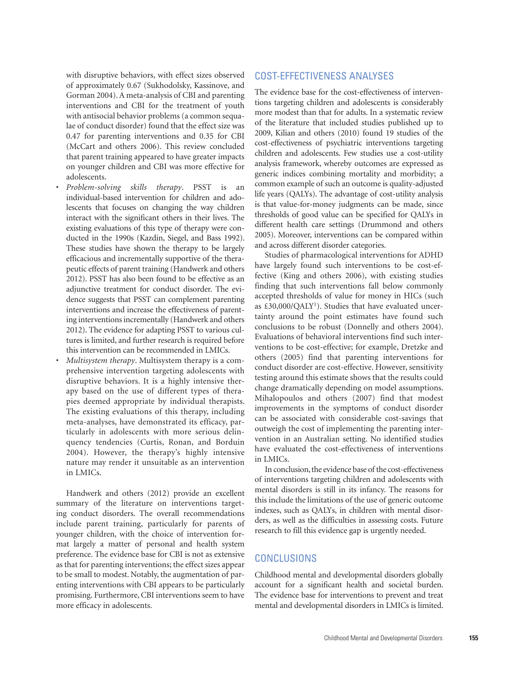with disruptive behaviors, with effect sizes observed of approximately 0.67 (Sukhodolsky, Kassinove, and Gorman 2004). A meta-analysis of CBI and parenting interventions and CBI for the treatment of youth with antisocial behavior problems (a common sequalae of conduct disorder) found that the effect size was 0.47 for parenting interventions and 0.35 for CBI (McCart and others 2006). This review concluded that parent training appeared to have greater impacts on younger children and CBI was more effective for adolescents.

- *Problem-solving skills therapy*. PSST is an individual-based intervention for children and adolescents that focuses on changing the way children interact with the significant others in their lives. The existing evaluations of this type of therapy were conducted in the 1990s (Kazdin, Siegel, and Bass 1992). These studies have shown the therapy to be largely efficacious and incrementally supportive of the therapeutic effects of parent training (Handwerk and others 2012). PSST has also been found to be effective as an adjunctive treatment for conduct disorder. The evidence suggests that PSST can complement parenting interventions and increase the effectiveness of parenting interventionsincrementally (Handwerk and others 2012). The evidence for adapting PSST to various cultures is limited, and further research is required before this intervention can be recommended in LMICs.
- *Multisystem therapy*. Multisystem therapy is a comprehensive intervention targeting adolescents with disruptive behaviors. It is a highly intensive therapy based on the use of different types of therapies deemed appropriate by individual therapists. The existing evaluations of this therapy, including meta-analyses, have demonstrated its efficacy, particularly in adolescents with more serious delinquency tendencies (Curtis, Ronan, and Borduin 2004). However, the therapy's highly intensive nature may render it unsuitable as an intervention in LMICs.

Handwerk and others (2012) provide an excellent summary of the literature on interventions targeting conduct disorders. The overall recommendations include parent training, particularly for parents of younger children, with the choice of intervention format largely a matter of personal and health system preference. The evidence base for CBI is not as extensive as that for parenting interventions; the effect sizes appear to be small to modest. Notably, the augmentation of parenting interventions with CBI appears to be particularly promising. Furthermore, CBI interventions seem to have more efficacy in adolescents.

## COST-EFFECTIVENESS ANALYSES

The evidence base for the cost-effectiveness of interventions targeting children and adolescents is considerably more modest than that for adults. In a systematic review of the literature that included studies published up to 2009, Kilian and others (2010) found 19 studies of the cost-effectiveness of psychiatric interventions targeting children and adolescents. Few studies use a cost-utility analysis framework, whereby outcomes are expressed as generic indices combining mortality and morbidity; a common example of such an outcome is quality-adjusted life years (QALYs). The advantage of cost-utility analysis is that value-for-money judgments can be made, since thresholds of good value can be specified for QALYs in different health care settings (Drummond and others 2005). Moreover, interventions can be compared within and across different disorder categories.

Studies of pharmacological interventions for ADHD have largely found such interventions to be cost-effective (King and others 2006), with existing studies finding that such interventions fall below commonly accepted thresholds of value for money in HICs (such as £30,000/QALY<sup>1</sup>). Studies that have evaluated uncertainty around the point estimates have found such conclusions to be robust (Donnelly and others 2004). Evaluations of behavioral interventions find such interventions to be cost-effective; for example, Dretzke and others (2005) find that parenting interventions for conduct disorder are cost-effective. However, sensitivity testing around this estimate shows that the results could change dramatically depending on model assumptions. Mihalopoulos and others (2007) find that modest improvements in the symptoms of conduct disorder can be associated with considerable cost-savings that outweigh the cost of implementing the parenting intervention in an Australian setting. No identified studies have evaluated the cost-effectiveness of interventions in LMICs.

In conclusion, the evidence base of the cost-effectiveness of interventions targeting children and adolescents with mental disorders is still in its infancy. The reasons for this include the limitations of the use of generic outcome indexes, such as QALYs, in children with mental disorders, as well as the difficulties in assessing costs. Future research to fill this evidence gap is urgently needed.

## **CONCLUSIONS**

Childhood mental and developmental disorders globally account for a significant health and societal burden. The evidence base for interventions to prevent and treat mental and developmental disorders in LMICs is limited.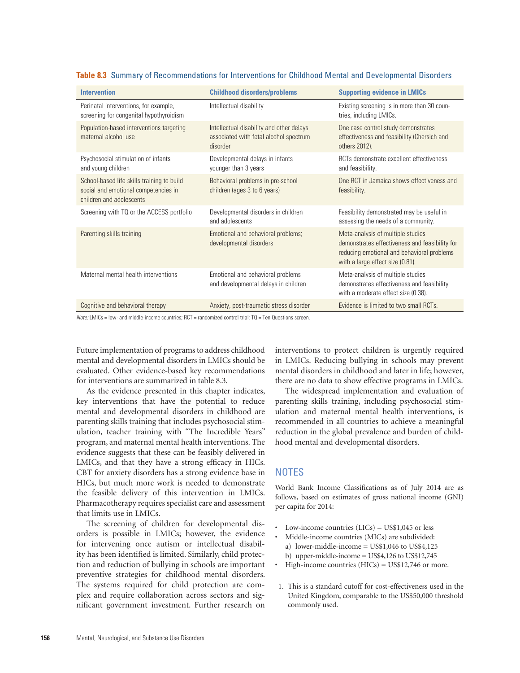| <b>Intervention</b>                                                                                            | <b>Childhood disorders/problems</b>                                                            | <b>Supporting evidence in LMICs</b>                                                                                                                                   |
|----------------------------------------------------------------------------------------------------------------|------------------------------------------------------------------------------------------------|-----------------------------------------------------------------------------------------------------------------------------------------------------------------------|
| Perinatal interventions, for example,<br>screening for congenital hypothyroidism                               | Intellectual disability                                                                        | Existing screening is in more than 30 coun-<br>tries, including LMICs.                                                                                                |
| Population-based interventions targeting<br>maternal alcohol use                                               | Intellectual disability and other delays<br>associated with fetal alcohol spectrum<br>disorder | One case control study demonstrates<br>effectiveness and feasibility (Chersich and<br>others 2012).                                                                   |
| Psychosocial stimulation of infants<br>and young children                                                      | Developmental delays in infants<br>younger than 3 years                                        | RCTs demonstrate excellent effectiveness<br>and feasibility.                                                                                                          |
| School-based life skills training to build<br>social and emotional competencies in<br>children and adolescents | Behavioral problems in pre-school<br>children (ages 3 to 6 years)                              | One RCT in Jamaica shows effectiveness and<br>feasibility.                                                                                                            |
| Screening with TQ or the ACCESS portfolio                                                                      | Developmental disorders in children<br>and adolescents                                         | Feasibility demonstrated may be useful in<br>assessing the needs of a community.                                                                                      |
| Parenting skills training                                                                                      | Emotional and behavioral problems;<br>developmental disorders                                  | Meta-analysis of multiple studies<br>demonstrates effectiveness and feasibility for<br>reducing emotional and behavioral problems<br>with a large effect size (0.81). |
| Maternal mental health interventions                                                                           | Emotional and behavioral problems<br>and developmental delays in children                      | Meta-analysis of multiple studies<br>demonstrates effectiveness and feasibility<br>with a moderate effect size (0.38).                                                |
| Cognitive and behavioral therapy                                                                               | Anxiety, post-traumatic stress disorder                                                        | Evidence is limited to two small RCTs.                                                                                                                                |

#### **Table 8.3** Summary of Recommendations for Interventions for Childhood Mental and Developmental Disorders

*Note:* LMICs = low- and middle-income countries; RCT = randomized control trial; TO = Ten Questions screen.

Future implementation of programs to address childhood mental and developmental disorders in LMICs should be evaluated. Other evidence-based key recommendations for interventions are summarized in table 8.3.

As the evidence presented in this chapter indicates, key interventions that have the potential to reduce mental and developmental disorders in childhood are parenting skills training that includes psychosocial stimulation, teacher training with "The Incredible Years" program, and maternal mental health interventions. The evidence suggests that these can be feasibly delivered in LMICs, and that they have a strong efficacy in HICs. CBT for anxiety disorders has a strong evidence base in HICs, but much more work is needed to demonstrate the feasible delivery of this intervention in LMICs. Pharmacotherapy requires specialist care and assessment that limits use in LMICs.

The screening of children for developmental disorders is possible in LMICs; however, the evidence for intervening once autism or intellectual disability has been identified is limited. Similarly, child protection and reduction of bullying in schools are important preventive strategies for childhood mental disorders. The systems required for child protection are complex and require collaboration across sectors and significant government investment. Further research on interventions to protect children is urgently required in LMICs. Reducing bullying in schools may prevent mental disorders in childhood and later in life; however, there are no data to show effective programs in LMICs.

The widespread implementation and evaluation of parenting skills training, including psychosocial stimulation and maternal mental health interventions, is recommended in all countries to achieve a meaningful reduction in the global prevalence and burden of childhood mental and developmental disorders.

## **NOTES**

World Bank Income Classifications as of July 2014 are as follows, based on estimates of gross national income (GNI) per capita for 2014:

- Low-income countries  $(LICs) = US$1,045$  or less
	- Middle-income countries (MICs) are subdivided:
	- a) lower-middle-income = US\$1,046 to US\$4,125
	- b) upper-middle-income = US\$4,126 to US\$12,745
- High-income countries  $(HICs) = US$12,746$  or more.
- 1. This is a standard cutoff for cost-effectiveness used in the United Kingdom, comparable to the US\$50,000 threshold commonly used.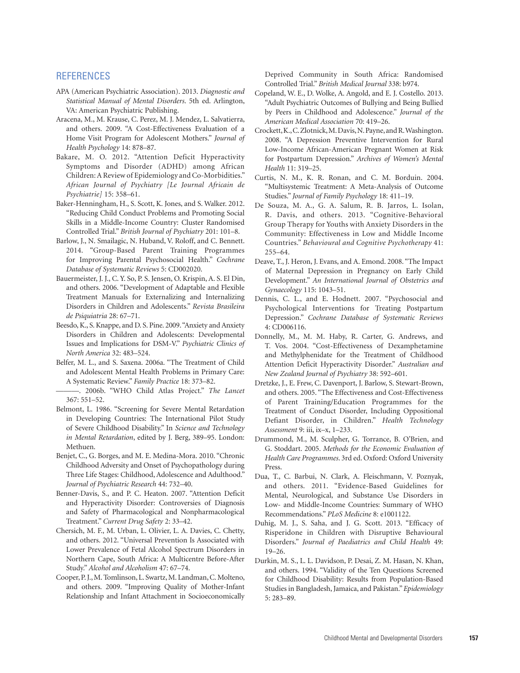## **REFERENCES**

- APA (American Psychiatric Association). 2013. *Diagnostic and Statistical Manual of Mental Disorders*. 5th ed. Arlington, VA: American Psychiatric Publishing.
- Aracena, M., M. Krause, C. Perez, M. J. Mendez, L. Salvatierra, and others. 2009. "A Cost-Effectiveness Evaluation of a Home Visit Program for Adolescent Mothers." *Journal of Health Psychology* 14: 878–87.
- Bakare, M. O. 2012. "Attention Deficit Hyperactivity Symptoms and Disorder (ADHD) among African Children: A Review of Epidemiology and Co-Morbidities." *African Journal of Psychiatry [Le Journal Africain de Psychiatrie]* 15: 358–61.
- Baker-Henningham, H., S. Scott, K. Jones, and S. Walker. 2012. "Reducing Child Conduct Problems and Promoting Social Skills in a Middle-Income Country: Cluster Randomised Controlled Trial." *British Journal of Psychiatry* 201: 101–8.
- Barlow, J., N. Smailagic, N. Huband, V. Roloff, and C. Bennett. 2014. "Group-Based Parent Training Programmes for Improving Parental Psychosocial Health." *Cochrane Database of Systematic Reviews* 5: CD002020.
- Bauermeister, J. J., C. Y. So, P. S. Jensen, O. Krispin, A. S. El Din, and others. 2006. "Development of Adaptable and Flexible Treatment Manuals for Externalizing and Internalizing Disorders in Children and Adolescents." *Revista Brasileira de Psiquiatria* 28: 67–71.
- Beesdo, K., S. Knappe, and D. S. Pine. 2009. "Anxiety and Anxiety Disorders in Children and Adolescents: Developmental Issues and Implications for DSM-V." *Psychiatric Clinics of North America* 32: 483–524.
- Belfer, M. L., and S. Saxena. 2006a. "The Treatment of Child and Adolescent Mental Health Problems in Primary Care: A Systematic Review." *Family Practice* 18: 373–82.
- ———. 2006b. "WHO Child Atlas Project." *The Lancet* 367: 551–52.
- Belmont, L. 1986. "Screening for Severe Mental Retardation in Developing Countries: The International Pilot Study of Severe Childhood Disability." In *Science and Technology in Mental Retardation*, edited by J. Berg, 389–95. London: Methuen.
- Benjet, C., G. Borges, and M. E. Medina-Mora. 2010. "Chronic Childhood Adversity and Onset of Psychopathology during Three Life Stages: Childhood, Adolescence and Adulthood." *Journal of Psychiatric Research* 44: 732–40.
- Benner-Davis, S., and P. C. Heaton. 2007. "Attention Deficit and Hyperactivity Disorder: Controversies of Diagnosis and Safety of Pharmacological and Nonpharmacological Treatment." *Current Drug Safety* 2: 33–42.
- Chersich, M. F., M. Urban, L. Olivier, L. A. Davies, C. Chetty, and others. 2012. "Universal Prevention Is Associated with Lower Prevalence of Fetal Alcohol Spectrum Disorders in Northern Cape, South Africa: A Multicentre Before-After Study." *Alcohol and Alcoholism* 47: 67–74.
- Cooper, P. J., M. Tomlinson, L. Swartz, M. Landman, C. Molteno, and others. 2009. "Improving Quality of Mother-Infant Relationship and Infant Attachment in Socioeconomically

Deprived Community in South Africa: Randomised Controlled Trial." *British Medical Journal* 338: b974.

- Copeland, W. E., D. Wolke, A. Angold, and E. J. Costello. 2013. "Adult Psychiatric Outcomes of Bullying and Being Bullied by Peers in Childhood and Adolescence." *Journal of the American Medical Association* 70: 419–26.
- Crockett, K., C. Zlotnick, M. Davis, N. Payne, and R. Washington. 2008. "A Depression Preventive Intervention for Rural Low-Income African-American Pregnant Women at Risk for Postpartum Depression." *Archives of Women's Mental Health* 11: 319–25.
- Curtis, N. M., K. R. Ronan, and C. M. Borduin. 2004. "Multisystemic Treatment: A Meta-Analysis of Outcome Studies." *Journal of Family Psychology* 18: 411–19.
- De Souza, M. A., G. A. Salum, R. B. Jarros, L. Isolan, R. Davis, and others. 2013. "Cognitive-Behavioral Group Therapy for Youths with Anxiety Disorders in the Community: Effectiveness in Low and Middle Income Countries." *Behavioural and Cognitive Psychotherapy* 41: 255–64.
- Deave, T., J. Heron, J. Evans, and A. Emond. 2008. "The Impact of Maternal Depression in Pregnancy on Early Child Development." *An International Journal of Obstetrics and Gynaecology* 115: 1043–51.
- Dennis, C. L., and E. Hodnett. 2007. "Psychosocial and Psychological Interventions for Treating Postpartum Depression." *Cochrane Database of Systematic Reviews* 4: CD006116.
- Donnelly, M., M. M. Haby, R. Carter, G. Andrews, and T. Vos. 2004. "Cost-Effectiveness of Dexamphetamine and Methylphenidate for the Treatment of Childhood Attention Deficit Hyperactivity Disorder." *Australian and New Zealand Journal of Psychiatry* 38: 592–601.
- Dretzke, J., E. Frew, C. Davenport, J. Barlow, S. Stewart-Brown, and others. 2005. "The Effectiveness and Cost-Effectiveness of Parent Training/Education Programmes for the Treatment of Conduct Disorder, Including Oppositional Defiant Disorder, in Children." *Health Technology Assessment* 9: iii, ix–x, 1–233.
- Drummond, M., M. Sculpher, G. Torrance, B. O'Brien, and G. Stoddart. 2005. *Methods for the Economic Evaluation of Health Care Programmes*. 3rd ed. Oxford: Oxford University Press.
- Dua, T., C. Barbui, N. Clark, A. Fleischmann, V. Poznyak, and others. 2011. "Evidence-Based Guidelines for Mental, Neurological, and Substance Use Disorders in Low- and Middle-Income Countries: Summary of WHO Recommendations." *PLoS Medicine* 8: e1001122.
- Duhig, M. J., S. Saha, and J. G. Scott. 2013. "Efficacy of Risperidone in Children with Disruptive Behavioural Disorders." *Journal of Paediatrics and Child Health* 49: 19–26.
- Durkin, M. S., L. L. Davidson, P. Desai, Z. M. Hasan, N. Khan, and others. 1994. "Validity of the Ten Questions Screened for Childhood Disability: Results from Population-Based Studies in Bangladesh, Jamaica, and Pakistan." *Epidemiology* 5: 283–89.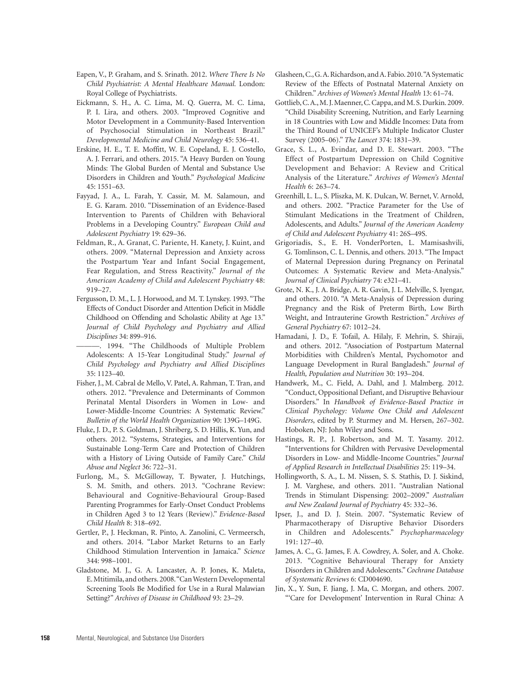- Eapen, V., P. Graham, and S. Srinath. 2012. *Where There Is No Child Psychiatrist: A Mental Healthcare Manual.* London: Royal College of Psychiatrists.
- Eickmann, S. H., A. C. Lima, M. Q. Guerra, M. C. Lima, P. I. Lira, and others. 2003. "Improved Cognitive and Motor Development in a Community-Based Intervention of Psychosocial Stimulation in Northeast Brazil." *Developmental Medicine and Child Neurology* 45: 536–41.
- Erskine, H. E., T. E. Moffitt, W. E. Copeland, E. J. Costello, A. J. Ferrari, and others. 2015. "A Heavy Burden on Young Minds: The Global Burden of Mental and Substance Use Disorders in Children and Youth." *Psychological Medicine* 45: 1551–63.
- Fayyad, J. A., L. Farah, Y. Cassir, M. M. Salamoun, and E. G. Karam. 2010. "Dissemination of an Evidence-Based Intervention to Parents of Children with Behavioral Problems in a Developing Country." *European Child and Adolescent Psychiatry* 19: 629–36.
- Feldman, R., A. Granat, C. Pariente, H. Kanety, J. Kuint, and others. 2009. "Maternal Depression and Anxiety across the Postpartum Year and Infant Social Engagement, Fear Regulation, and Stress Reactivity." *Journal of the American Academy of Child and Adolescent Psychiatry* 48: 919–27.
- Fergusson, D. M., L. J. Horwood, and M. T. Lynskey. 1993. "The Effects of Conduct Disorder and Attention Deficit in Middle Childhood on Offending and Scholastic Ability at Age 13." Journal of Child Psychology and Psychiatry and Allied *Disciplines* 34: 899–916.
- ———. 1994. "The Childhoods of Multiple Problem Adolescents: A 15-Year Longitudinal Study." *Journal of Child Psychology and Psychiatry and Allied Disciplines* 35: 1123–40.
- Fisher, J., M. Cabral de Mello, V. Patel, A. Rahman, T. Tran, and others. 2012. "Prevalence and Determinants of Common Perinatal Mental Disorders in Women in Low- and Lower-Middle-Income Countries: A Systematic Review." *Bulletin of the World Health Organization* 90: 139G–149G.
- Fluke, J. D., P. S. Goldman, J. Shriberg, S. D. Hillis, K. Yun, and others. 2012. "Systems, Strategies, and Interventions for Sustainable Long-Term Care and Protection of Children with a History of Living Outside of Family Care." *Child Abuse and Neglect* 36: 722–31.
- Furlong, M., S. McGilloway, T. Bywater, J. Hutchings, S. M. Smith, and others. 2013. "Cochrane Review: Behavioural and Cognitive-Behavioural Group-Based Parenting Programmes for Early-Onset Conduct Problems in Children Aged 3 to 12 Years (Review)." *Evidence-Based Child Health* 8: 318–692.
- Gertler, P., J. Heckman, R. Pinto, A. Zanolini, C. Vermeersch, and others. 2014. "Labor Market Returns to an Early Childhood Stimulation Intervention in Jamaica." *Science* 344: 998–1001.
- Gladstone, M. J., G. A. Lancaster, A. P. Jones, K. Maleta, E. Mtitimila, and others. 2008. "Can Western Developmental Screening Tools Be Modified for Use in a Rural Malawian Setting?" *Archives of Disease in Childhood* 93: 23–29.
- Glasheen, C., G. A. Richardson, and A. Fabio. 2010. "A Systematic Review of the Effects of Postnatal Maternal Anxiety on Children." *Archives of Women's Mental Health* 13: 61–74.
- Gottlieb, C. A., M. J. Maenner, C. Cappa, and M. S. Durkin. 2009. "Child Disability Screening, Nutrition, and Early Learning in 18 Countries with Low and Middle Incomes: Data from the Third Round of UNICEF's Multiple Indicator Cluster Survey (2005–06)." *The Lancet* 374: 1831–39.
- Grace, S. L., A. Evindar, and D. E. Stewart. 2003. "The Effect of Postpartum Depression on Child Cognitive Development and Behavior: A Review and Critical Analysis of the Literature." *Archives of Women's Mental Health* 6: 263–74.
- Greenhill, L. L., S. Pliszka, M. K. Dulcan, W. Bernet, V. Arnold, and others. 2002. "Practice Parameter for the Use of Stimulant Medications in the Treatment of Children, Adolescents, and Adults." *Journal of the American Academy of Child and Adolescent Psychiatry* 41: 26S–49S.
- Grigoriadis, S., E. H. VonderPorten, L. Mamisashvili, G. Tomlinson, C. L. Dennis, and others. 2013. "The Impact of Maternal Depression during Pregnancy on Perinatal Outcomes: A Systematic Review and Meta-Analysis." *Journal of Clinical Psychiatry* 74: e321–41.
- Grote, N. K., J. A. Bridge, A. R. Gavin, J. L. Melville, S. Iyengar, and others. 2010. "A Meta-Analysis of Depression during Pregnancy and the Risk of Preterm Birth, Low Birth Weight, and Intrauterine Growth Restriction." *Archives of General Psychiatry* 67: 1012–24.
- Hamadani, J. D., F. Tofail, A. Hilaly, F. Mehrin, S. Shiraji, and others. 2012. "Association of Postpartum Maternal Morbidities with Children's Mental, Psychomotor and Language Development in Rural Bangladesh." *Journal of Health, Population and Nutrition* 30: 193–204.
- Handwerk, M., C. Field, A. Dahl, and J. Malmberg. 2012. "Conduct, Oppositional Defiant, and Disruptive Behaviour Disorders." In *Handbook of Evidence-Based Practice in Clinical Psychology: Volume One Child and Adolescent Disorders*, edited by P. Sturmey and M. Hersen, 267–302. Hoboken, NJ: John Wiley and Sons.
- Hastings, R. P., J. Robertson, and M. T. Yasamy. 2012. "Interventions for Children with Pervasive Developmental Disorders in Low- and Middle-Income Countries." *Journal of Applied Research in Intellectual Disabilities* 25: 119–34.
- Hollingworth, S. A., L. M. Nissen, S. S. Stathis, D. J. Siskind, J. M. Varghese, and others. 2011. "Australian National Trends in Stimulant Dispensing: 2002–2009." *Australian and New Zealand Journal of Psychiatry* 45: 332–36.
- Ipser, J., and D. J. Stein. 2007. "Systematic Review of Pharmacotherapy of Disruptive Behavior Disorders in Children and Adolescents." *Psychopharmacology* 191: 127–40.
- James, A. C., G. James, F. A. Cowdrey, A. Soler, and A. Choke. 2013. "Cognitive Behavioural Therapy for Anxiety Disorders in Children and Adolescents." *Cochrane Database of Systematic Reviews* 6: CD004690.
- Jin, X., Y. Sun, F. Jiang, J. Ma, C. Morgan, and others. 2007. "'Care for Development' Intervention in Rural China: A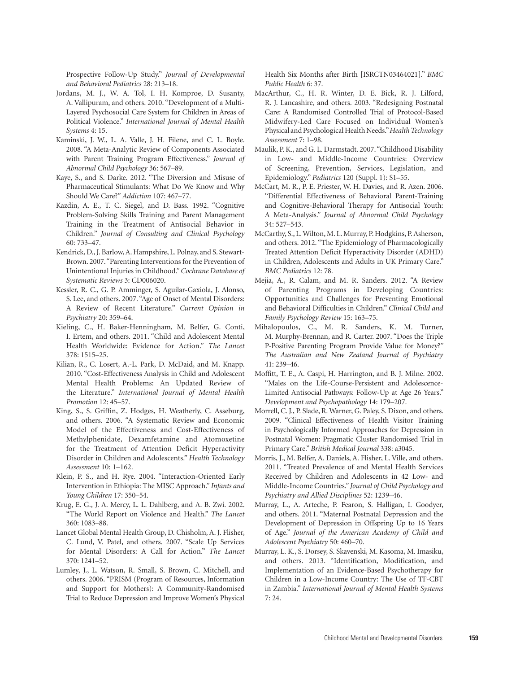Prospective Follow-Up Study." *Journal of Developmental and Behavioral Pediatrics* 28: 213–18.

- Jordans, M. J., W. A. Tol, I. H. Komproe, D. Susanty, A. Vallipuram, and others. 2010. "Development of a Multi-Layered Psychosocial Care System for Children in Areas of Political Violence." *International Journal of Mental Health Systems* 4: 15.
- Kaminski, J. W., L. A. Valle, J. H. Filene, and C. L. Boyle. 2008. "A Meta-Analytic Review of Components Associated with Parent Training Program Effectiveness." *Journal of Abnormal Child Psychology* 36: 567–89.
- Kaye, S., and S. Darke. 2012. "The Diversion and Misuse of Pharmaceutical Stimulants: What Do We Know and Why Should We Care?" *Addiction* 107: 467–77.
- Kazdin, A. E., T. C. Siegel, and D. Bass. 1992. "Cognitive Problem-Solving Skills Training and Parent Management Training in the Treatment of Antisocial Behavior in Children." *Journal of Consulting and Clinical Psychology* 60: 733–47.
- Kendrick, D., J. Barlow, A. Hampshire, L. Polnay, and S. Stewart-Brown. 2007. "Parenting Interventions for the Prevention of Unintentional Injuries in Childhood." *Cochrane Database of Systematic Reviews* 3: CD006020.
- Kessler, R. C., G. P. Amminger, S. Aguilar-Gaxiola, J. Alonso, S. Lee, and others. 2007. "Age of Onset of Mental Disorders: A Review of Recent Literature." *Current Opinion in Psychiatry* 20: 359–64.
- Kieling, C., H. Baker-Henningham, M. Belfer, G. Conti, I. Ertem, and others. 2011. "Child and Adolescent Mental Health Worldwide: Evidence for Action." *The Lancet* 378: 1515–25.
- Kilian, R., C. Losert, A.-L. Park, D. McDaid, and M. Knapp. 2010. "Cost-Effectiveness Analysis in Child and Adolescent Mental Health Problems: An Updated Review of the Literature." *International Journal of Mental Health Promotion* 12: 45–57.
- King, S., S. Griffin, Z. Hodges, H. Weatherly, C. Asseburg, and others. 2006. "A Systematic Review and Economic Model of the Effectiveness and Cost-Effectiveness of Methylphenidate, Dexamfetamine and Atomoxetine for the Treatment of Attention Deficit Hyperactivity Disorder in Children and Adolescents." *Health Technology Assessment* 10: 1–162.
- Klein, P. S., and H. Rye. 2004. "Interaction-Oriented Early Intervention in Ethiopia: The MISC Approach." *Infants and Young Children* 17: 350–54.
- Krug, E. G., J. A. Mercy, L. L. Dahlberg, and A. B. Zwi. 2002. "The World Report on Violence and Health." *The Lancet* 360: 1083–88.
- Lancet Global Mental Health Group, D. Chisholm, A. J. Flisher, C. Lund, V. Patel, and others. 2007. "Scale Up Services for Mental Disorders: A Call for Action." *The Lancet* 370: 1241–52.
- Lumley, J., L. Watson, R. Small, S. Brown, C. Mitchell, and others. 2006. "PRISM (Program of Resources, Information and Support for Mothers): A Community-Randomised Trial to Reduce Depression and Improve Women's Physical

Health Six Months after Birth [ISRCTN03464021]." *BMC Public Health* 6: 37.

- MacArthur, C., H. R. Winter, D. E. Bick, R. J. Lilford, R. J. Lancashire, and others. 2003. "Redesigning Postnatal Care: A Randomised Controlled Trial of Protocol-Based Midwifery-Led Care Focused on Individual Women's Physical and Psychological Health Needs." *Health Technology Assessment* 7: 1–98.
- Maulik, P. K., and G. L. Darmstadt. 2007. "Childhood Disability in Low- and Middle-Income Countries: Overview of Screening, Prevention, Services, Legislation, and Epidemiology." *Pediatrics* 120 (Suppl. 1): S1–55.
- McCart, M. R., P. E. Priester, W. H. Davies, and R. Azen. 2006. "Differential Effectiveness of Behavioral Parent-Training and Cognitive-Behavioral Therapy for Antisocial Youth: A Meta-Analysis." *Journal of Abnormal Child Psychology* 34: 527–543.
- McCarthy, S., L. Wilton, M. L. Murray, P. Hodgkins, P. Asherson, and others. 2012. "The Epidemiology of Pharmacologically Treated Attention Deficit Hyperactivity Disorder (ADHD) in Children, Adolescents and Adults in UK Primary Care." *BMC Pediatrics* 12: 78.
- Mejia, A., R. Calam, and M. R. Sanders. 2012. "A Review of Parenting Programs in Developing Countries: Opportunities and Challenges for Preventing Emotional and Behavioral Difficulties in Children." *Clinical Child and Family Psychology Review* 15: 163–75.
- Mihalopoulos, C., M. R. Sanders, K. M. Turner, M. Murphy-Brennan, and R. Carter. 2007. "Does the Triple P-Positive Parenting Program Provide Value for Money?" *The Australian and New Zealand Journal of Psychiatry* 41: 239–46.
- Moffitt, T. E., A. Caspi, H. Harrington, and B. J. Milne. 2002. "Males on the Life-Course-Persistent and Adolescence-Limited Antisocial Pathways: Follow-Up at Age 26 Years." *Development and Psychopathology* 14: 179–207.
- Morrell, C. J., P. Slade, R. Warner, G. Paley, S. Dixon, and others. 2009. "Clinical Effectiveness of Health Visitor Training in Psychologically Informed Approaches for Depression in Postnatal Women: Pragmatic Cluster Randomised Trial in Primary Care." *British Medical Journal* 338: a3045.
- Morris, J., M. Belfer, A. Daniels, A. Flisher, L. Ville, and others. 2011. "Treated Prevalence of and Mental Health Services Received by Children and Adolescents in 42 Low- and Middle-Income Countries." *Journal of Child Psychology and Psychiatry and Allied Disciplines* 52: 1239–46.
- Murray, L., A. Arteche, P. Fearon, S. Halligan, I. Goodyer, and others. 2011. "Maternal Postnatal Depression and the Development of Depression in Offspring Up to 16 Years of Age." *Journal of the American Academy of Child and Adolescent Psychiatry* 50: 460–70.
- Murray, L. K., S. Dorsey, S. Skavenski, M. Kasoma, M. Imasiku, and others. 2013. "Identification, Modification, and Implementation of an Evidence-Based Psychotherapy for Children in a Low-Income Country: The Use of TF-CBT in Zambia." *International Journal of Mental Health Systems* 7: 24.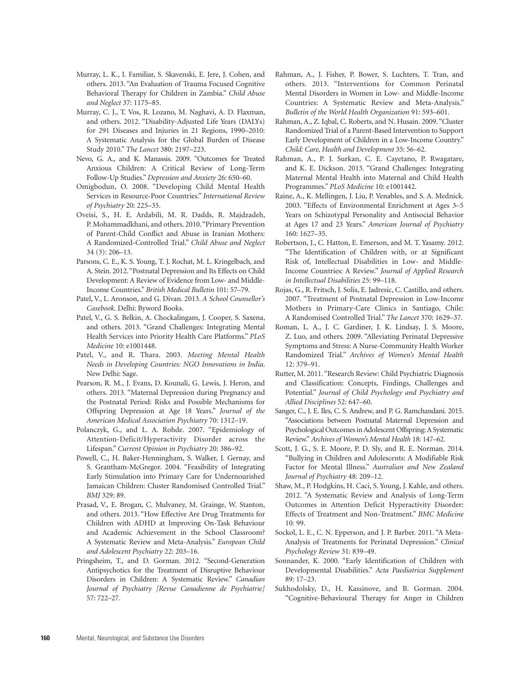- Murray, L. K., I. Familiar, S. Skavenski, E. Jere, J. Cohen, and others. 2013. "An Evaluation of Trauma Focused Cognitive Behavioral Therapy for Children in Zambia." *Child Abuse and Neglect* 37: 1175–85.
- Murray, C. J., T. Vos, R. Lozano, M. Naghavi, A. D. Flaxman, and others. 2012. "Disability-Adjusted Life Years (DALYs) for 291 Diseases and Injuries in 21 Regions, 1990–2010: A Systematic Analysis for the Global Burden of Disease Study 2010." *The Lancet* 380: 2197–223.
- Nevo, G. A., and K. Manassis. 2009. "Outcomes for Treated Anxious Children: A Critical Review of Long-Term Follow-Up Studies." *Depression and Anxiety* 26: 650–60.
- Omigbodun, O. 2008. "Developing Child Mental Health Services in Resource-Poor Countries." *International Review of Psychiatry* 20: 225–35.
- Oveisi, S., H. E. Ardabili, M. R. Dadds, R. Majdzadeh, P. Mohammadkhani, and others. 2010. "Primary Prevention of Parent-Child Conflict and Abuse in Iranian Mothers: A Randomized-Controlled Trial." *Child Abuse and Neglect* 34 (3): 206–13.
- Parsons, C. E., K. S. Young, T. J. Rochat, M. L. Kringelbach, and A. Stein. 2012. "Postnatal Depression and Its Effects on Child Development: A Review of Evidence from Low- and Middle-Income Countries." *British Medical Bulletin* 101: 57–79.
- Patel, V., L. Aronson, and G. Divan. 2013. *A School Counsellor's Casebook*. Delhi: Byword Books.
- Patel, V., G. S. Belkin, A. Chockalingam, J. Cooper, S. Saxena, and others. 2013. "Grand Challenges: Integrating Mental Health Services into Priority Health Care Platforms." *PLoS Medicine* 10: e1001448.
- Patel, V., and R. Thara. 2003*. Meeting Mental Health Needs in Developing Countries: NGO Innovations in India*. New Delhi: Sage.
- Pearson, R. M., J. Evans, D. Kounali, G. Lewis, J. Heron, and others. 2013. "Maternal Depression during Pregnancy and the Postnatal Period: Risks and Possible Mechanisms for Offspring Depression at Age 18 Years." *Journal of the American Medical Association Psychiatry* 70: 1312–19.
- Polanczyk, G., and L. A. Rohde. 2007. "Epidemiology of Attention-Deficit/Hyperactivity Disorder across the Lifespan." *Current Opinion in Psychiatry* 20: 386–92.
- Powell, C., H. Baker-Henningham, S. Walker, J. Gernay, and S. Grantham-McGregor. 2004. "Feasibility of Integrating Early Stimulation into Primary Care for Undernourished Jamaican Children: Cluster Randomised Controlled Trial." *BMJ* 329: 89.
- Prasad, V., E. Brogan, C. Mulvaney, M. Grainge, W. Stanton, and others. 2013. "How Effective Are Drug Treatments for Children with ADHD at Improving On-Task Behaviour and Academic Achievement in the School Classroom? A Systematic Review and Meta-Analysis." *European Child and Adolescent Psychiatry* 22: 203–16.
- Pringsheim, T., and D. Gorman. 2012. "Second-Generation Antipsychotics for the Treatment of Disruptive Behaviour Disorders in Children: A Systematic Review." *Canadian Journal of Psychiatry [Revue Canadienne de Psychiatrie]* 57: 722–27.
- Rahman, A., J. Fisher, P. Bower, S. Luchters, T. Tran, and others. 2013. "Interventions for Common Perinatal Mental Disorders in Women in Low- and Middle-Income Countries: A Systematic Review and Meta-Analysis." *Bulletin of the World Health Organization* 91: 593–601.
- Rahman, A., Z. Iqbal, C. Roberts, and N. Husain. 2009. "Cluster Randomized Trial of a Parent-Based Intervention to Support Early Development of Children in a Low-Income Country." *Child: Care, Health and Development* 35: 56–62.
- Rahman, A., P. J. Surkan, C. E. Cayetano, P. Rwagatare, and K. E. Dickson. 2013. "Grand Challenges: Integrating Maternal Mental Health into Maternal and Child Health Programmes." *PLoS Medicine* 10: e1001442.
- Raine, A., K. Mellingen, J. Liu, P. Venables, and S. A. Mednick. 2003. "Effects of Environmental Enrichment at Ages 3–5 Years on Schizotypal Personality and Antisocial Behavior at Ages 17 and 23 Years." *American Journal of Psychiatry* 160: 1627–35.
- Robertson, J., C. Hatton, E. Emerson, and M. T. Yasamy. 2012. "The Identification of Children with, or at Significant Risk of, Intellectual Disabilities in Low- and Middle-Income Countries: A Review." *Journal of Applied Research in Intellectual Disabilities* 25: 99–118.
- Rojas, G., R. Fritsch, J. Solis, E. Jadresic, C. Castillo, and others. 2007. "Treatment of Postnatal Depression in Low-Income Mothers in Primary-Care Clinics in Santiago, Chile: A Randomised Controlled Trial." *The Lancet* 370: 1629–37.
- Roman, L. A., J. C. Gardiner, J. K. Lindsay, J. S. Moore, Z. Luo, and others. 2009. "Alleviating Perinatal Depressive Symptoms and Stress: A Nurse-Community Health Worker Randomized Trial." *Archives of Women's Mental Health* 12: 379–91.
- Rutter, M. 2011. "Research Review: Child Psychiatric Diagnosis and Classification: Concepts, Findings, Challenges and Potential." *Journal of Child Psychology and Psychiatry and Allied Disciplines* 52: 647–60.
- Sanger, C., J. E. Iles, C. S. Andrew, and P. G. Ramchandani. 2015. "Associations between Postnatal Maternal Depression and Psychological Outcomes in Adolescent Offspring: A Systematic Review." *Archives of Women's Mental Health* 18: 147–62.
- Scott, J. G., S. E. Moore, P. D. Sly, and R. E. Norman. 2014. "Bullying in Children and Adolescents: A Modifiable Risk Factor for Mental Illness." *Australian and New Zealand Journal of Psychiatry* 48: 209–12.
- Shaw, M., P. Hodgkins, H. Caci, S. Young, J. Kahle, and others. 2012. "A Systematic Review and Analysis of Long-Term Outcomes in Attention Deficit Hyperactivity Disorder: Effects of Treatment and Non-Treatment." *BMC Medicine*  $10:99.$
- Sockol, L. E., C. N. Epperson, and J. P. Barber. 2011. "A Meta-Analysis of Treatments for Perinatal Depression." *Clinical Psychology Review* 31: 839–49.
- Sonnander, K. 2000. "Early Identification of Children with Developmental Disabilities." *Acta Paediatrica Supplement* 89: 17–23.
- Sukhodolsky, D., H. Kassinove, and B. Gorman. 2004. "Cognitive-Behavioural Therapy for Anger in Children